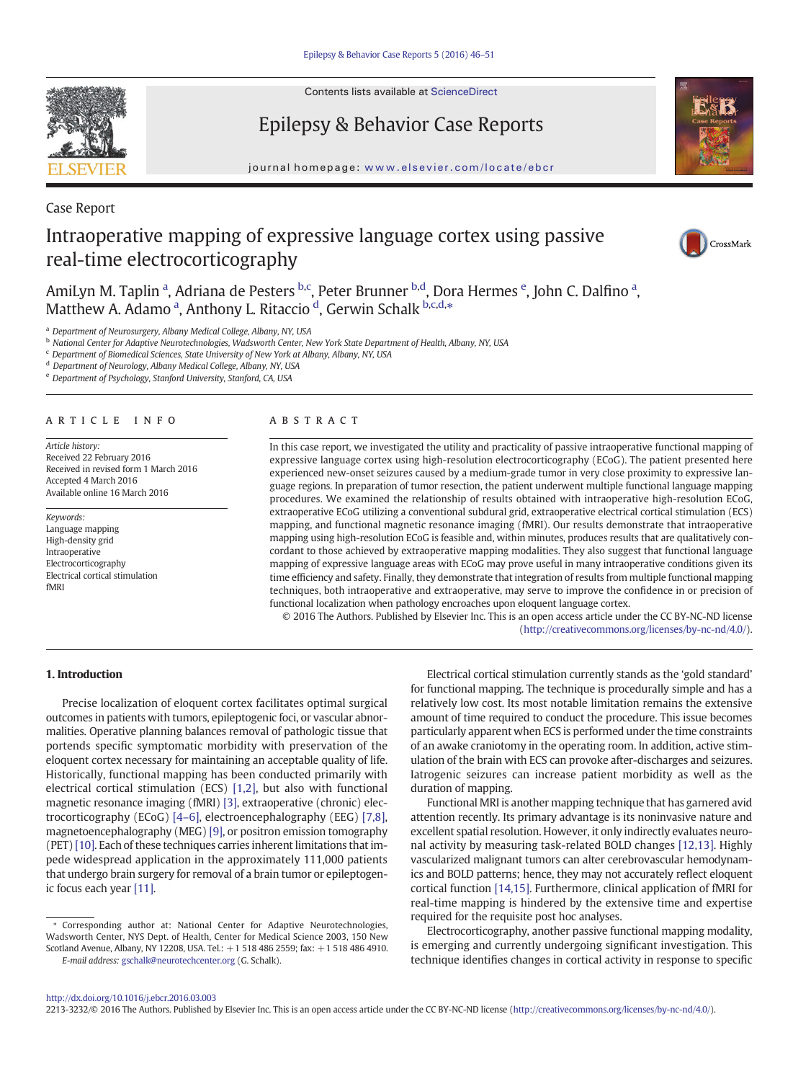

Contents lists available at ScienceDirect

# Epilepsy & Behavior Case Reports

journal homepage: <www.elsevier.com/locate/ebcr>



# Case Report

# Intraoperative mapping of expressive language cortex using passive real-time electrocorticography



AmiLyn M. Taplin <sup>a</sup>, Adriana de Pesters <sup>b,c</sup>, Peter Brunner <sup>b,d</sup>, Dora Hermes <sup>e</sup>, John C. Dalfino <sup>a</sup>, Matthew A. Adamo <sup>a</sup>, Anthony L. Ritaccio <sup>d</sup>, Gerwin Schalk b.c.d.\*

<sup>a</sup> Department of Neurosurgery, Albany Medical College, Albany, NY, USA

**b** National Center for Adaptive Neurotechnologies, Wadsworth Center, New York State Department of Health, Albany, NY, USA

 $c$  Department of Biomedical Sciences, State University of New York at Albany, Albany, NY, USA

<sup>d</sup> Department of Neurology, Albany Medical College, Albany, NY, USA

<sup>e</sup> Department of Psychology, Stanford University, Stanford, CA, USA

# article info abstract

Article history: Received 22 February 2016 Received in revised form 1 March 2016 Accepted 4 March 2016 Available online 16 March 2016

Keywords: Language mapping High-density grid Intraoperative Electrocorticography Electrical cortical stimulation fMRI

In this case report, we investigated the utility and practicality of passive intraoperative functional mapping of expressive language cortex using high-resolution electrocorticography (ECoG). The patient presented here experienced new-onset seizures caused by a medium-grade tumor in very close proximity to expressive language regions. In preparation of tumor resection, the patient underwent multiple functional language mapping procedures. We examined the relationship of results obtained with intraoperative high-resolution ECoG, extraoperative ECoG utilizing a conventional subdural grid, extraoperative electrical cortical stimulation (ECS) mapping, and functional magnetic resonance imaging (fMRI). Our results demonstrate that intraoperative mapping using high-resolution ECoG is feasible and, within minutes, produces results that are qualitatively concordant to those achieved by extraoperative mapping modalities. They also suggest that functional language mapping of expressive language areas with ECoG may prove useful in many intraoperative conditions given its time efficiency and safety. Finally, they demonstrate that integration of results from multiple functional mapping techniques, both intraoperative and extraoperative, may serve to improve the confidence in or precision of functional localization when pathology encroaches upon eloquent language cortex.

© 2016 The Authors. Published by Elsevier Inc. This is an open access article under the CC BY-NC-ND license (http://creativecommons.org/licenses/by-nc-nd/4.0/).

# 1. Introduction

Precise localization of eloquent cortex facilitates optimal surgical outcomes in patients with tumors, epileptogenic foci, or vascular abnormalities. Operative planning balances removal of pathologic tissue that portends specific symptomatic morbidity with preservation of the eloquent cortex necessary for maintaining an acceptable quality of life. Historically, functional mapping has been conducted primarily with electrical cortical stimulation (ECS) [\[1,2\],](#page-4-0) but also with functional magnetic resonance imaging (fMRI) [\[3\],](#page-4-0) extraoperative (chronic) electrocorticography (ECoG) [\[4](#page-4-0)–6], electroencephalography (EEG) [\[7,8\],](#page-5-0) magnetoencephalography (MEG) [\[9\],](#page-5-0) or positron emission tomography (PET) [\[10\]](#page-5-0). Each of these techniques carries inherent limitations that impede widespread application in the approximately 111,000 patients that undergo brain surgery for removal of a brain tumor or epileptogenic focus each year [\[11\].](#page-5-0)

⁎ Corresponding author at: National Center for Adaptive Neurotechnologies, Wadsworth Center, NYS Dept. of Health, Center for Medical Science 2003, 150 New Scotland Avenue, Albany, NY 12208, USA. Tel.: +1 518 486 2559; fax: +1 518 486 4910. E-mail address: [gschalk@neurotechcenter.org](mailto:gschalk@neurotechcenter.org) (G. Schalk).

Electrical cortical stimulation currently stands as the 'gold standard' for functional mapping. The technique is procedurally simple and has a relatively low cost. Its most notable limitation remains the extensive amount of time required to conduct the procedure. This issue becomes particularly apparent when ECS is performed under the time constraints of an awake craniotomy in the operating room. In addition, active stimulation of the brain with ECS can provoke after-discharges and seizures. Iatrogenic seizures can increase patient morbidity as well as the duration of mapping.

Functional MRI is another mapping technique that has garnered avid attention recently. Its primary advantage is its noninvasive nature and excellent spatial resolution. However, it only indirectly evaluates neuronal activity by measuring task-related BOLD changes [\[12,13\]](#page-5-0). Highly vascularized malignant tumors can alter cerebrovascular hemodynamics and BOLD patterns; hence, they may not accurately reflect eloquent cortical function [\[14,15\].](#page-5-0) Furthermore, clinical application of fMRI for real-time mapping is hindered by the extensive time and expertise required for the requisite post hoc analyses.

Electrocorticography, another passive functional mapping modality, is emerging and currently undergoing significant investigation. This technique identifies changes in cortical activity in response to specific

2213-3232/© 2016 The Authors. Published by Elsevier Inc. This is an open access article under the CC BY-NC-ND license (http://creativecommons.org/licenses/by-nc-nd/4.0/).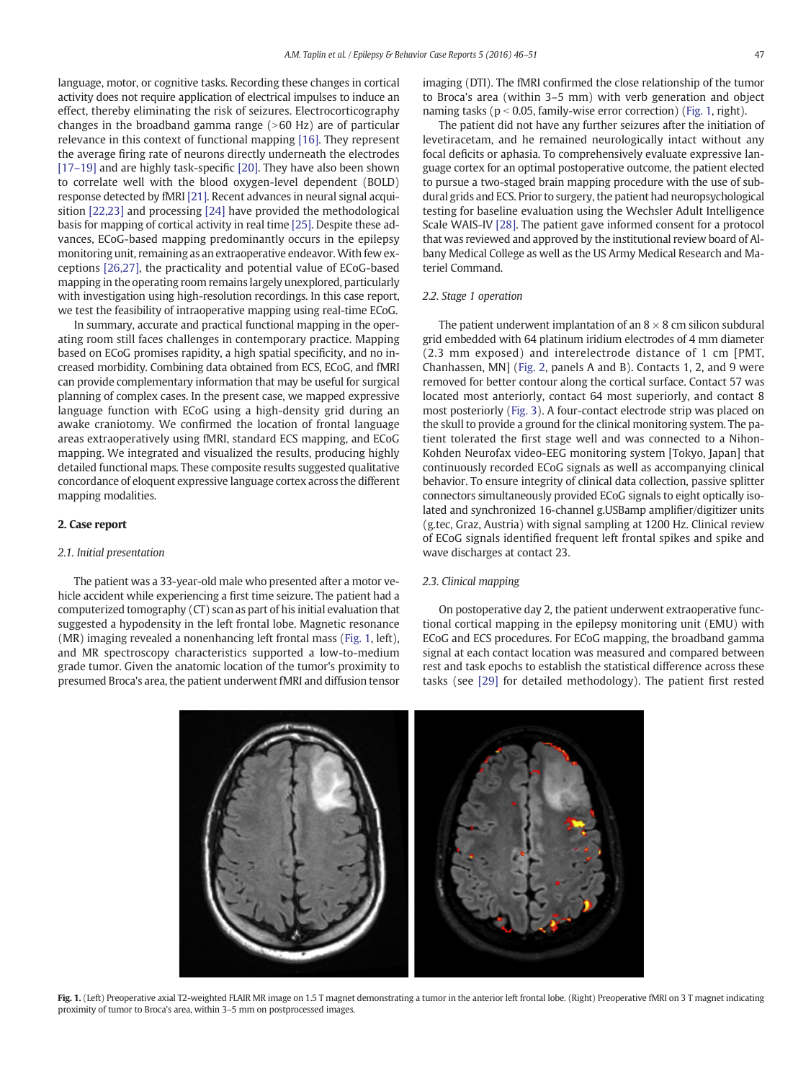language, motor, or cognitive tasks. Recording these changes in cortical activity does not require application of electrical impulses to induce an effect, thereby eliminating the risk of seizures. Electrocorticography changes in the broadband gamma range  $(>60$  Hz) are of particular relevance in this context of functional mapping [\[16\]](#page-5-0). They represent the average firing rate of neurons directly underneath the electrodes [17-[19\]](#page-5-0) and are highly task-specific [\[20\]](#page-5-0). They have also been shown to correlate well with the blood oxygen-level dependent (BOLD) response detected by fMRI [\[21\].](#page-5-0) Recent advances in neural signal acquisition [\[22,23\]](#page-5-0) and processing [\[24\]](#page-5-0) have provided the methodological basis for mapping of cortical activity in real time [\[25\].](#page-5-0) Despite these advances, ECoG-based mapping predominantly occurs in the epilepsy monitoring unit, remaining as an extraoperative endeavor. With few exceptions [\[26,27\]](#page-5-0), the practicality and potential value of ECoG-based mapping in the operating room remains largely unexplored, particularly with investigation using high-resolution recordings. In this case report, we test the feasibility of intraoperative mapping using real-time ECoG.

In summary, accurate and practical functional mapping in the operating room still faces challenges in contemporary practice. Mapping based on ECoG promises rapidity, a high spatial specificity, and no increased morbidity. Combining data obtained from ECS, ECoG, and fMRI can provide complementary information that may be useful for surgical planning of complex cases. In the present case, we mapped expressive language function with ECoG using a high-density grid during an awake craniotomy. We confirmed the location of frontal language areas extraoperatively using fMRI, standard ECS mapping, and ECoG mapping. We integrated and visualized the results, producing highly detailed functional maps. These composite results suggested qualitative concordance of eloquent expressive language cortex across the different mapping modalities.

#### 2. Case report

### 2.1. Initial presentation

The patient was a 33-year-old male who presented after a motor vehicle accident while experiencing a first time seizure. The patient had a computerized tomography (CT) scan as part of his initial evaluation that suggested a hypodensity in the left frontal lobe. Magnetic resonance (MR) imaging revealed a nonenhancing left frontal mass (Fig. 1, left), and MR spectroscopy characteristics supported a low-to-medium grade tumor. Given the anatomic location of the tumor's proximity to presumed Broca's area, the patient underwent fMRI and diffusion tensor

imaging (DTI). The fMRI confirmed the close relationship of the tumor to Broca's area (within 3–5 mm) with verb generation and object naming tasks ( $p < 0.05$ , family-wise error correction) (Fig. 1, right).

The patient did not have any further seizures after the initiation of levetiracetam, and he remained neurologically intact without any focal deficits or aphasia. To comprehensively evaluate expressive language cortex for an optimal postoperative outcome, the patient elected to pursue a two-staged brain mapping procedure with the use of subdural grids and ECS. Prior to surgery, the patient had neuropsychological testing for baseline evaluation using the Wechsler Adult Intelligence Scale WAIS-IV [\[28\]](#page-5-0). The patient gave informed consent for a protocol that was reviewed and approved by the institutional review board of Albany Medical College as well as the US Army Medical Research and Materiel Command.

### 2.2. Stage 1 operation

The patient underwent implantation of an  $8 \times 8$  cm silicon subdural grid embedded with 64 platinum iridium electrodes of 4 mm diameter (2.3 mm exposed) and interelectrode distance of 1 cm [PMT, Chanhassen, MN] ([Fig. 2,](#page-2-0) panels A and B). Contacts 1, 2, and 9 were removed for better contour along the cortical surface. Contact 57 was located most anteriorly, contact 64 most superiorly, and contact 8 most posteriorly ([Fig. 3\)](#page-2-0). A four-contact electrode strip was placed on the skull to provide a ground for the clinical monitoring system. The patient tolerated the first stage well and was connected to a Nihon-Kohden Neurofax video-EEG monitoring system [Tokyo, Japan] that continuously recorded ECoG signals as well as accompanying clinical behavior. To ensure integrity of clinical data collection, passive splitter connectors simultaneously provided ECoG signals to eight optically isolated and synchronized 16-channel g.USBamp amplifier/digitizer units (g.tec, Graz, Austria) with signal sampling at 1200 Hz. Clinical review of ECoG signals identified frequent left frontal spikes and spike and wave discharges at contact 23.

# 2.3. Clinical mapping

On postoperative day 2, the patient underwent extraoperative functional cortical mapping in the epilepsy monitoring unit (EMU) with ECoG and ECS procedures. For ECoG mapping, the broadband gamma signal at each contact location was measured and compared between rest and task epochs to establish the statistical difference across these tasks (see [\[29\]](#page-5-0) for detailed methodology). The patient first rested



Fig. 1. (Left) Preoperative axial T2-weighted FLAIR MR image on 1.5 T magnet demonstrating a tumor in the anterior left frontal lobe. (Right) Preoperative fMRI on 3 T magnet indicating proximity of tumor to Broca's area, within 3–5 mm on postprocessed images.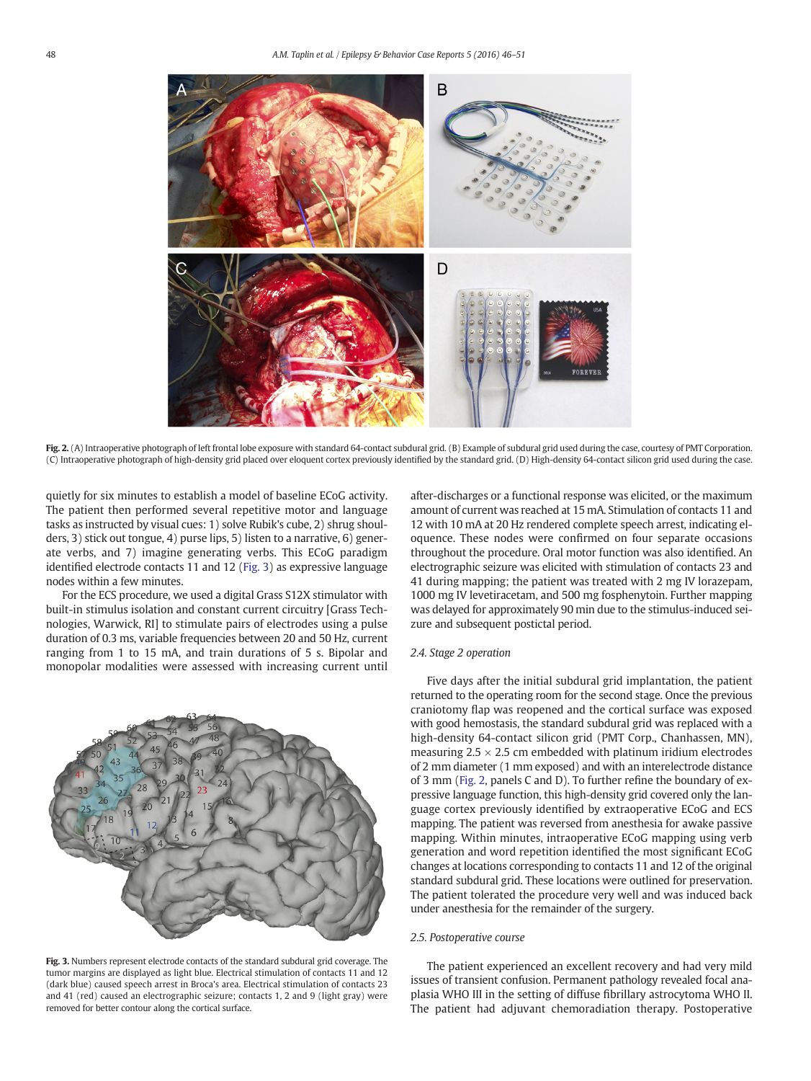<span id="page-2-0"></span>

Fig. 2. (A) Intraoperative photograph of left frontal lobe exposure with standard 64-contact subdural grid. (B) Example of subdural grid used during the case, courtesy of PMT Corporation. (C) Intraoperative photograph of high-density grid placed over eloquent cortex previously identified by the standard grid. (D) High-density 64-contact silicon grid used during the case.

quietly for six minutes to establish a model of baseline ECoG activity. The patient then performed several repetitive motor and language tasks as instructed by visual cues: 1) solve Rubik's cube, 2) shrug shoulders, 3) stick out tongue, 4) purse lips, 5) listen to a narrative, 6) generate verbs, and 7) imagine generating verbs. This ECoG paradigm identified electrode contacts 11 and 12 (Fig. 3) as expressive language nodes within a few minutes.

For the ECS procedure, we used a digital Grass S12X stimulator with built-in stimulus isolation and constant current circuitry [Grass Technologies, Warwick, RI] to stimulate pairs of electrodes using a pulse duration of 0.3 ms, variable frequencies between 20 and 50 Hz, current ranging from 1 to 15 mA, and train durations of 5 s. Bipolar and monopolar modalities were assessed with increasing current until



Fig. 3. Numbers represent electrode contacts of the standard subdural grid coverage. The tumor margins are displayed as light blue. Electrical stimulation of contacts 11 and 12 (dark blue) caused speech arrest in Broca's area. Electrical stimulation of contacts 23 and 41 (red) caused an electrographic seizure; contacts 1, 2 and 9 (light gray) were removed for better contour along the cortical surface.

after-discharges or a functional response was elicited, or the maximum amount of current was reached at 15 mA. Stimulation of contacts 11 and 12 with 10 mA at 20 Hz rendered complete speech arrest, indicating eloquence. These nodes were confirmed on four separate occasions throughout the procedure. Oral motor function was also identified. An electrographic seizure was elicited with stimulation of contacts 23 and 41 during mapping; the patient was treated with 2 mg IV lorazepam, 1000 mg IV levetiracetam, and 500 mg fosphenytoin. Further mapping was delayed for approximately 90 min due to the stimulus-induced seizure and subsequent postictal period.

# 2.4. Stage 2 operation

Five days after the initial subdural grid implantation, the patient returned to the operating room for the second stage. Once the previous craniotomy flap was reopened and the cortical surface was exposed with good hemostasis, the standard subdural grid was replaced with a high-density 64-contact silicon grid (PMT Corp., Chanhassen, MN), measuring  $2.5 \times 2.5$  cm embedded with platinum iridium electrodes of 2 mm diameter (1 mm exposed) and with an interelectrode distance of 3 mm (Fig. 2, panels C and D). To further refine the boundary of expressive language function, this high-density grid covered only the language cortex previously identified by extraoperative ECoG and ECS mapping. The patient was reversed from anesthesia for awake passive mapping. Within minutes, intraoperative ECoG mapping using verb generation and word repetition identified the most significant ECoG changes at locations corresponding to contacts 11 and 12 of the original standard subdural grid. These locations were outlined for preservation. The patient tolerated the procedure very well and was induced back under anesthesia for the remainder of the surgery.

### 2.5. Postoperative course

The patient experienced an excellent recovery and had very mild issues of transient confusion. Permanent pathology revealed focal anaplasia WHO III in the setting of diffuse fibrillary astrocytoma WHO II. The patient had adjuvant chemoradiation therapy. Postoperative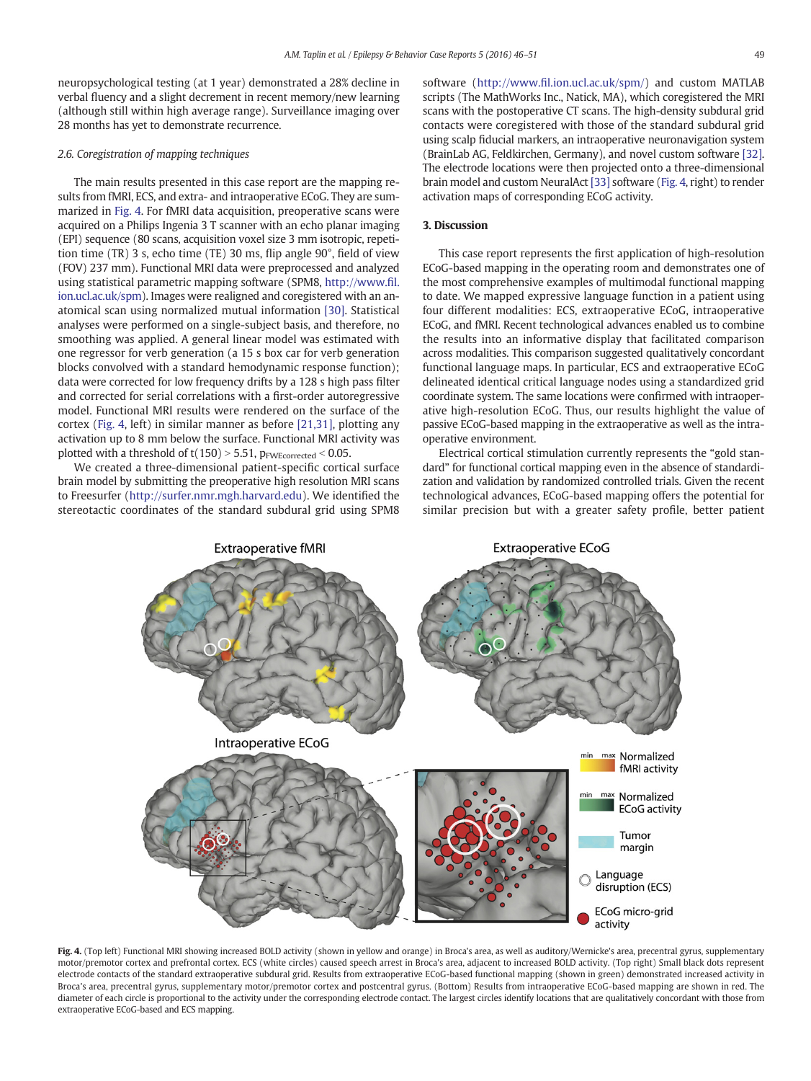neuropsychological testing (at 1 year) demonstrated a 28% decline in verbal fluency and a slight decrement in recent memory/new learning (although still within high average range). Surveillance imaging over 28 months has yet to demonstrate recurrence.

# 2.6. Coregistration of mapping techniques

The main results presented in this case report are the mapping results from fMRI, ECS, and extra- and intraoperative ECoG. They are summarized in Fig. 4. For fMRI data acquisition, preoperative scans were acquired on a Philips Ingenia 3 T scanner with an echo planar imaging (EPI) sequence (80 scans, acquisition voxel size 3 mm isotropic, repetition time (TR) 3 s, echo time (TE) 30 ms, flip angle 90°, field of view (FOV) 237 mm). Functional MRI data were preprocessed and analyzed using statistical parametric mapping software (SPM8, [http://www.](http://www.fil.ion.ucl.ac.uk/spm)fil. [ion.ucl.ac.uk/spm\)](http://www.fil.ion.ucl.ac.uk/spm). Images were realigned and coregistered with an anatomical scan using normalized mutual information [\[30\]](#page-5-0). Statistical analyses were performed on a single-subject basis, and therefore, no smoothing was applied. A general linear model was estimated with one regressor for verb generation (a 15 s box car for verb generation blocks convolved with a standard hemodynamic response function); data were corrected for low frequency drifts by a 128 s high pass filter and corrected for serial correlations with a first-order autoregressive model. Functional MRI results were rendered on the surface of the cortex (Fig. 4, left) in similar manner as before [\[21,31\]](#page-5-0), plotting any activation up to 8 mm below the surface. Functional MRI activity was plotted with a threshold of  $t(150) > 5.51$ ,  $p_{FWEcorrected} < 0.05$ .

We created a three-dimensional patient-specific cortical surface brain model by submitting the preoperative high resolution MRI scans to Freesurfer [\(http://surfer.nmr.mgh.harvard.edu\)](http://surfer.nmr.mgh.harvard.edu). We identified the stereotactic coordinates of the standard subdural grid using SPM8 software (http://www.fi[l.ion.ucl.ac.uk/spm/](http://www.fil.ion.ucl.ac.uk/spm/)) and custom MATLAB scripts (The MathWorks Inc., Natick, MA), which coregistered the MRI scans with the postoperative CT scans. The high-density subdural grid contacts were coregistered with those of the standard subdural grid using scalp fiducial markers, an intraoperative neuronavigation system (BrainLab AG, Feldkirchen, Germany), and novel custom software [\[32\].](#page-5-0) The electrode locations were then projected onto a three-dimensional brain model and custom NeuralAct [\[33\]](#page-5-0) software (Fig. 4, right) to render activation maps of corresponding ECoG activity.

### 3. Discussion

This case report represents the first application of high-resolution ECoG-based mapping in the operating room and demonstrates one of the most comprehensive examples of multimodal functional mapping to date. We mapped expressive language function in a patient using four different modalities: ECS, extraoperative ECoG, intraoperative ECoG, and fMRI. Recent technological advances enabled us to combine the results into an informative display that facilitated comparison across modalities. This comparison suggested qualitatively concordant functional language maps. In particular, ECS and extraoperative ECoG delineated identical critical language nodes using a standardized grid coordinate system. The same locations were confirmed with intraoperative high-resolution ECoG. Thus, our results highlight the value of passive ECoG-based mapping in the extraoperative as well as the intraoperative environment.

Electrical cortical stimulation currently represents the "gold standard" for functional cortical mapping even in the absence of standardization and validation by randomized controlled trials. Given the recent technological advances, ECoG-based mapping offers the potential for similar precision but with a greater safety profile, better patient



Fig. 4. (Top left) Functional MRI showing increased BOLD activity (shown in yellow and orange) in Broca's area, as well as auditory/Wernicke's area, precentral gyrus, supplementary motor/premotor cortex and prefrontal cortex. ECS (white circles) caused speech arrest in Broca's area, adjacent to increased BOLD activity. (Top right) Small black dots represent electrode contacts of the standard extraoperative subdural grid. Results from extraoperative ECoG-based functional mapping (shown in green) demonstrated increased activity in Broca's area, precentral gyrus, supplementary motor/premotor cortex and postcentral gyrus. (Bottom) Results from intraoperative ECoG-based mapping are shown in red. The diameter of each circle is proportional to the activity under the corresponding electrode contact. The largest circles identify locations that are qualitatively concordant with those from extraoperative ECoG-based and ECS mapping.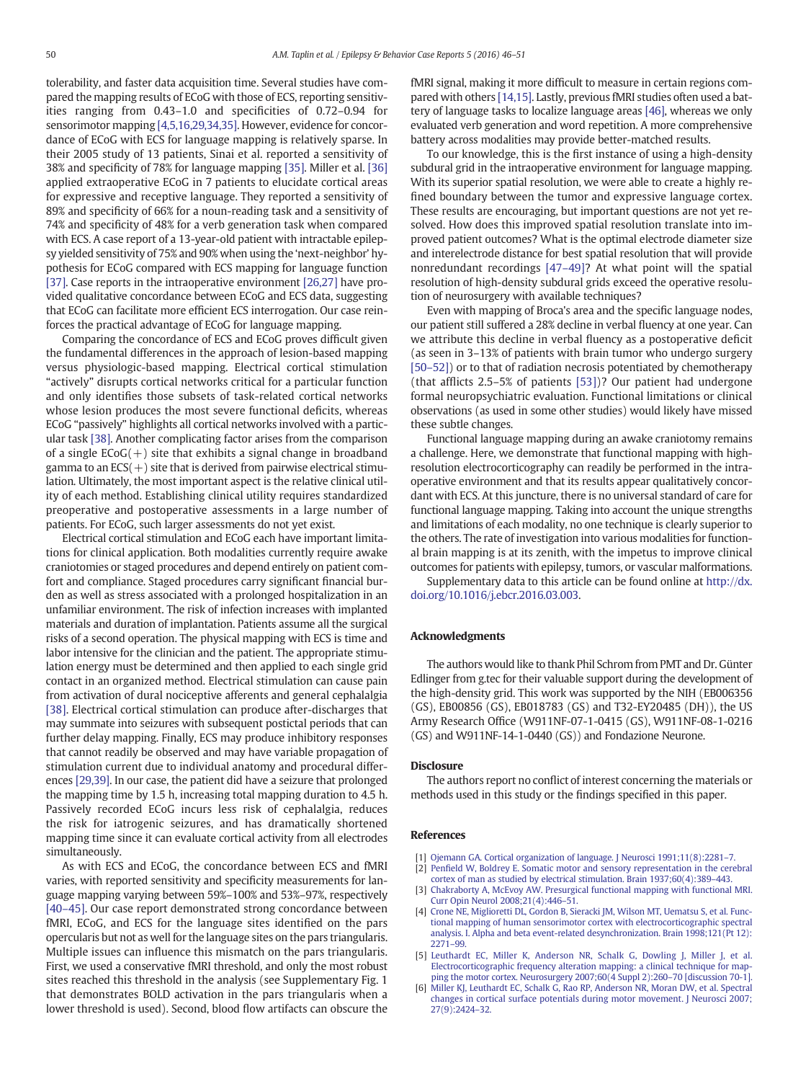<span id="page-4-0"></span>tolerability, and faster data acquisition time. Several studies have compared the mapping results of ECoG with those of ECS, reporting sensitivities ranging from 0.43–1.0 and specificities of 0.72–0.94 for sensorimotor mapping [4,5,16,29,34,35]. However, evidence for concordance of ECoG with ECS for language mapping is relatively sparse. In their 2005 study of 13 patients, Sinai et al. reported a sensitivity of 38% and specificity of 78% for language mapping [\[35\]](#page-5-0). Miller et al. [\[36\]](#page-5-0) applied extraoperative ECoG in 7 patients to elucidate cortical areas for expressive and receptive language. They reported a sensitivity of 89% and specificity of 66% for a noun-reading task and a sensitivity of 74% and specificity of 48% for a verb generation task when compared with ECS. A case report of a 13-year-old patient with intractable epilepsy yielded sensitivity of 75% and 90% when using the 'next-neighbor' hypothesis for ECoG compared with ECS mapping for language function [\[37\]](#page-5-0). Case reports in the intraoperative environment [\[26,27\]](#page-5-0) have provided qualitative concordance between ECoG and ECS data, suggesting that ECoG can facilitate more efficient ECS interrogation. Our case reinforces the practical advantage of ECoG for language mapping.

Comparing the concordance of ECS and ECoG proves difficult given the fundamental differences in the approach of lesion-based mapping versus physiologic-based mapping. Electrical cortical stimulation "actively" disrupts cortical networks critical for a particular function and only identifies those subsets of task-related cortical networks whose lesion produces the most severe functional deficits, whereas ECoG "passively" highlights all cortical networks involved with a particular task [\[38\]](#page-5-0). Another complicating factor arises from the comparison of a single  $ECoG(+)$  site that exhibits a signal change in broadband gamma to an  $ECS(+)$  site that is derived from pairwise electrical stimulation. Ultimately, the most important aspect is the relative clinical utility of each method. Establishing clinical utility requires standardized preoperative and postoperative assessments in a large number of patients. For ECoG, such larger assessments do not yet exist.

Electrical cortical stimulation and ECoG each have important limitations for clinical application. Both modalities currently require awake craniotomies or staged procedures and depend entirely on patient comfort and compliance. Staged procedures carry significant financial burden as well as stress associated with a prolonged hospitalization in an unfamiliar environment. The risk of infection increases with implanted materials and duration of implantation. Patients assume all the surgical risks of a second operation. The physical mapping with ECS is time and labor intensive for the clinician and the patient. The appropriate stimulation energy must be determined and then applied to each single grid contact in an organized method. Electrical stimulation can cause pain from activation of dural nociceptive afferents and general cephalalgia [\[38\].](#page-5-0) Electrical cortical stimulation can produce after-discharges that may summate into seizures with subsequent postictal periods that can further delay mapping. Finally, ECS may produce inhibitory responses that cannot readily be observed and may have variable propagation of stimulation current due to individual anatomy and procedural differences [\[29,39\]](#page-5-0). In our case, the patient did have a seizure that prolonged the mapping time by 1.5 h, increasing total mapping duration to 4.5 h. Passively recorded ECoG incurs less risk of cephalalgia, reduces the risk for iatrogenic seizures, and has dramatically shortened mapping time since it can evaluate cortical activity from all electrodes simultaneously.

As with ECS and ECoG, the concordance between ECS and fMRI varies, with reported sensitivity and specificity measurements for language mapping varying between 59%–100% and 53%–97%, respectively [\[40](#page-5-0)–45]. Our case report demonstrated strong concordance between fMRI, ECoG, and ECS for the language sites identified on the pars opercularis but not as well for the language sites on the pars triangularis. Multiple issues can influence this mismatch on the pars triangularis. First, we used a conservative fMRI threshold, and only the most robust sites reached this threshold in the analysis (see Supplementary Fig. 1 that demonstrates BOLD activation in the pars triangularis when a lower threshold is used). Second, blood flow artifacts can obscure the fMRI signal, making it more difficult to measure in certain regions compared with others [\[14,15\].](#page-5-0) Lastly, previous fMRI studies often used a battery of language tasks to localize language areas [\[46\]](#page-5-0), whereas we only evaluated verb generation and word repetition. A more comprehensive battery across modalities may provide better-matched results.

To our knowledge, this is the first instance of using a high-density subdural grid in the intraoperative environment for language mapping. With its superior spatial resolution, we were able to create a highly refined boundary between the tumor and expressive language cortex. These results are encouraging, but important questions are not yet resolved. How does this improved spatial resolution translate into improved patient outcomes? What is the optimal electrode diameter size and interelectrode distance for best spatial resolution that will provide nonredundant recordings [47–[49\]?](#page-5-0) At what point will the spatial resolution of high-density subdural grids exceed the operative resolution of neurosurgery with available techniques?

Even with mapping of Broca's area and the specific language nodes, our patient still suffered a 28% decline in verbal fluency at one year. Can we attribute this decline in verbal fluency as a postoperative deficit (as seen in 3–13% of patients with brain tumor who undergo surgery [50–[52\]\)](#page-5-0) or to that of radiation necrosis potentiated by chemotherapy (that afflicts 2.5–5% of patients [\[53\]](#page-5-0))? Our patient had undergone formal neuropsychiatric evaluation. Functional limitations or clinical observations (as used in some other studies) would likely have missed these subtle changes.

Functional language mapping during an awake craniotomy remains a challenge. Here, we demonstrate that functional mapping with highresolution electrocorticography can readily be performed in the intraoperative environment and that its results appear qualitatively concordant with ECS. At this juncture, there is no universal standard of care for functional language mapping. Taking into account the unique strengths and limitations of each modality, no one technique is clearly superior to the others. The rate of investigation into various modalities for functional brain mapping is at its zenith, with the impetus to improve clinical outcomes for patients with epilepsy, tumors, or vascular malformations.

Supplementary data to this article can be found online at [http://dx.](http://dx.doi.org/10.1016/j.ebcr.2016.03.003) [doi.org/10.1016/j.ebcr.2016.03.003.](http://dx.doi.org/10.1016/j.ebcr.2016.03.003)

#### Acknowledgments

The authors would like to thank Phil Schrom from PMT and Dr. Günter Edlinger from g.tec for their valuable support during the development of the high-density grid. This work was supported by the NIH (EB006356 (GS), EB00856 (GS), EB018783 (GS) and T32-EY20485 (DH)), the US Army Research Office (W911NF-07-1-0415 (GS), W911NF-08-1-0216 (GS) and W911NF-14-1-0440 (GS)) and Fondazione Neurone.

#### **Disclosure**

The authors report no conflict of interest concerning the materials or methods used in this study or the findings specified in this paper.

## References

- [1] [Ojemann GA. Cortical organization of language. J Neurosci 1991;11\(8\):2281](http://refhub.elsevier.com/S2213-3232(16)30009-3/rf0005)–7.
- [2] Penfi[eld W, Boldrey E. Somatic motor and sensory representation in the cerebral](http://refhub.elsevier.com/S2213-3232(16)30009-3/rf0010)
- [cortex of man as studied by electrical stimulation. Brain 1937;60\(4\):389](http://refhub.elsevier.com/S2213-3232(16)30009-3/rf0010)–443. [3] [Chakraborty A, McEvoy AW. Presurgical functional mapping with functional MRI.](http://refhub.elsevier.com/S2213-3232(16)30009-3/rf0015) [Curr Opin Neurol 2008;21\(4\):446](http://refhub.elsevier.com/S2213-3232(16)30009-3/rf0015)–51.
- [4] [Crone NE, Miglioretti DL, Gordon B, Sieracki JM, Wilson MT, Uematsu S, et al. Func](http://refhub.elsevier.com/S2213-3232(16)30009-3/rf0020)[tional mapping of human sensorimotor cortex with electrocorticographic spectral](http://refhub.elsevier.com/S2213-3232(16)30009-3/rf0020) [analysis. I. Alpha and beta event-related desynchronization. Brain 1998;121\(Pt 12\):](http://refhub.elsevier.com/S2213-3232(16)30009-3/rf0020) [2271](http://refhub.elsevier.com/S2213-3232(16)30009-3/rf0020)–99.
- [5] [Leuthardt EC, Miller K, Anderson NR, Schalk G, Dowling J, Miller J, et al.](http://refhub.elsevier.com/S2213-3232(16)30009-3/rf0025) [Electrocorticographic frequency alteration mapping: a clinical technique for map](http://refhub.elsevier.com/S2213-3232(16)30009-3/rf0025)[ping the motor cortex. Neurosurgery 2007;60\(4 Suppl 2\):260](http://refhub.elsevier.com/S2213-3232(16)30009-3/rf0025)–70 [discussion 70-1].
- [6] [Miller KJ, Leuthardt EC, Schalk G, Rao RP, Anderson NR, Moran DW, et al. Spectral](http://refhub.elsevier.com/S2213-3232(16)30009-3/rf0030) [changes in cortical surface potentials during motor movement. J Neurosci 2007;](http://refhub.elsevier.com/S2213-3232(16)30009-3/rf0030) [27\(9\):2424](http://refhub.elsevier.com/S2213-3232(16)30009-3/rf0030)–32.